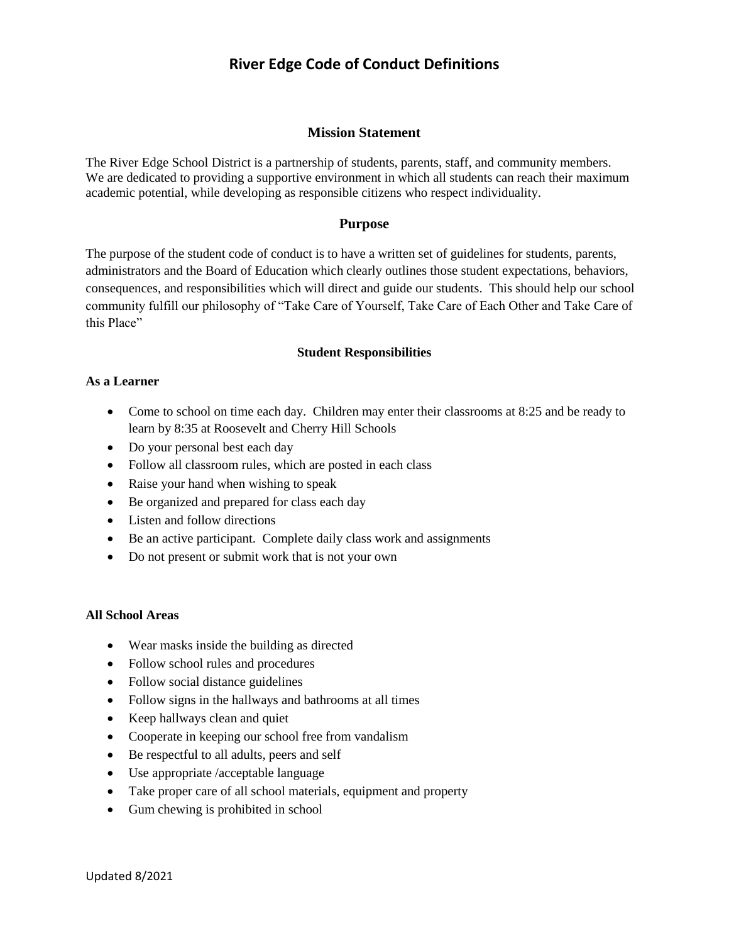# **River Edge Code of Conduct Definitions**

# **Mission Statement**

The River Edge School District is a partnership of students, parents, staff, and community members. We are dedicated to providing a supportive environment in which all students can reach their maximum academic potential, while developing as responsible citizens who respect individuality.

# **Purpose**

The purpose of the student code of conduct is to have a written set of guidelines for students, parents, administrators and the Board of Education which clearly outlines those student expectations, behaviors, consequences, and responsibilities which will direct and guide our students. This should help our school community fulfill our philosophy of "Take Care of Yourself, Take Care of Each Other and Take Care of this Place"

#### **Student Responsibilities**

#### **As a Learner**

- Come to school on time each day. Children may enter their classrooms at 8:25 and be ready to learn by 8:35 at Roosevelt and Cherry Hill Schools
- Do your personal best each day
- Follow all classroom rules, which are posted in each class
- Raise your hand when wishing to speak
- Be organized and prepared for class each day
- Listen and follow directions
- Be an active participant. Complete daily class work and assignments
- Do not present or submit work that is not your own

# **All School Areas**

- Wear masks inside the building as directed
- Follow school rules and procedures
- Follow social distance guidelines
- Follow signs in the hallways and bathrooms at all times
- Keep hallways clean and quiet
- Cooperate in keeping our school free from vandalism
- Be respectful to all adults, peers and self
- Use appropriate /acceptable language
- Take proper care of all school materials, equipment and property
- Gum chewing is prohibited in school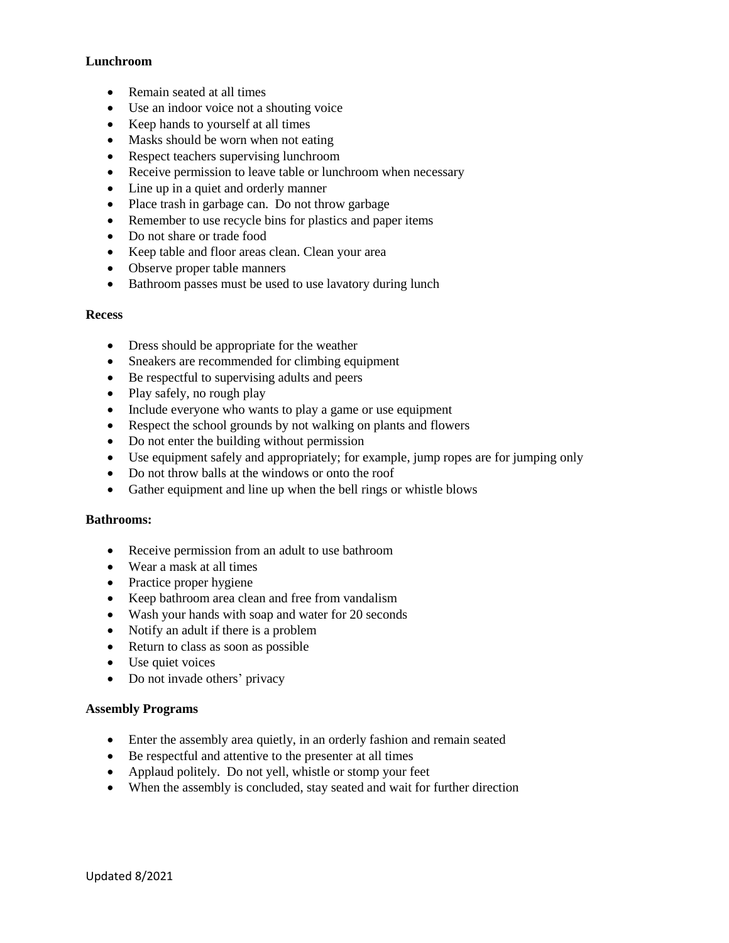# **Lunchroom**

- Remain seated at all times
- Use an indoor voice not a shouting voice
- Keep hands to yourself at all times
- Masks should be worn when not eating
- Respect teachers supervising lunchroom
- Receive permission to leave table or lunchroom when necessary
- Line up in a quiet and orderly manner
- Place trash in garbage can. Do not throw garbage
- Remember to use recycle bins for plastics and paper items
- Do not share or trade food
- Keep table and floor areas clean. Clean your area
- Observe proper table manners
- Bathroom passes must be used to use lavatory during lunch

#### **Recess**

- Dress should be appropriate for the weather
- Sneakers are recommended for climbing equipment
- Be respectful to supervising adults and peers
- Play safely, no rough play
- Include everyone who wants to play a game or use equipment
- Respect the school grounds by not walking on plants and flowers
- Do not enter the building without permission
- Use equipment safely and appropriately; for example, jump ropes are for jumping only
- Do not throw balls at the windows or onto the roof
- Gather equipment and line up when the bell rings or whistle blows

#### **Bathrooms:**

- Receive permission from an adult to use bathroom
- Wear a mask at all times
- Practice proper hygiene
- Keep bathroom area clean and free from vandalism
- Wash your hands with soap and water for 20 seconds
- Notify an adult if there is a problem
- Return to class as soon as possible
- Use quiet voices
- Do not invade others' privacy

#### **Assembly Programs**

- Enter the assembly area quietly, in an orderly fashion and remain seated
- Be respectful and attentive to the presenter at all times
- Applaud politely. Do not yell, whistle or stomp your feet
- When the assembly is concluded, stay seated and wait for further direction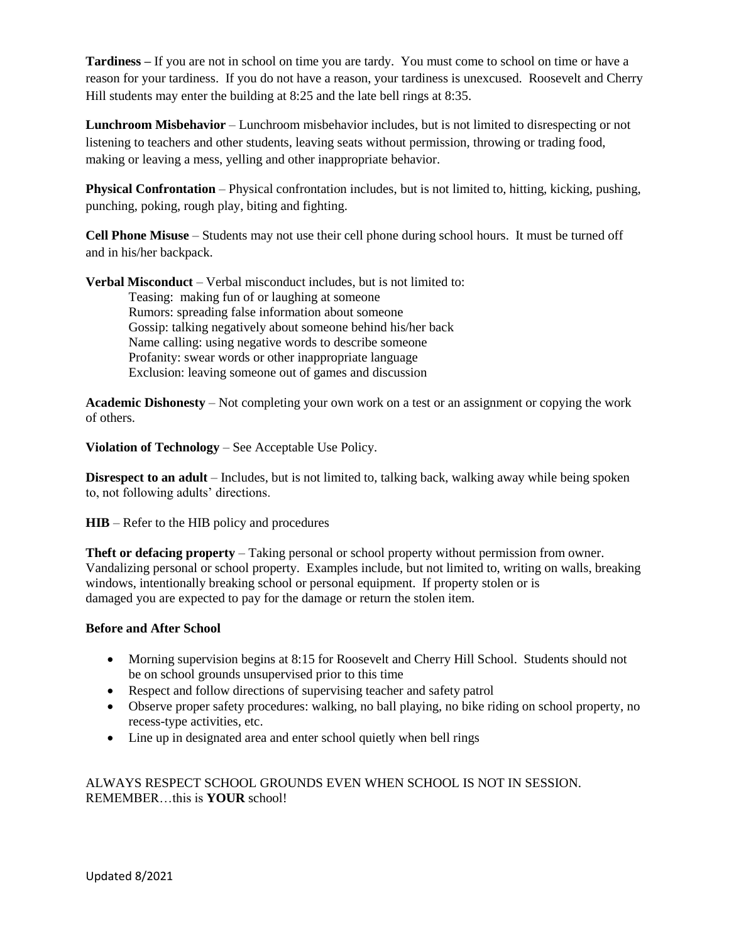**Tardiness –** If you are not in school on time you are tardy. You must come to school on time or have a reason for your tardiness. If you do not have a reason, your tardiness is unexcused. Roosevelt and Cherry Hill students may enter the building at 8:25 and the late bell rings at 8:35.

**Lunchroom Misbehavior** – Lunchroom misbehavior includes, but is not limited to disrespecting or not listening to teachers and other students, leaving seats without permission, throwing or trading food, making or leaving a mess, yelling and other inappropriate behavior.

**Physical Confrontation** – Physical confrontation includes, but is not limited to, hitting, kicking, pushing, punching, poking, rough play, biting and fighting.

**Cell Phone Misuse** – Students may not use their cell phone during school hours. It must be turned off and in his/her backpack.

**Verbal Misconduct** – Verbal misconduct includes, but is not limited to: Teasing: making fun of or laughing at someone Rumors: spreading false information about someone Gossip: talking negatively about someone behind his/her back Name calling: using negative words to describe someone Profanity: swear words or other inappropriate language Exclusion: leaving someone out of games and discussion

**Academic Dishonesty** – Not completing your own work on a test or an assignment or copying the work of others.

**Violation of Technology** – See Acceptable Use Policy.

**Disrespect to an adult** – Includes, but is not limited to, talking back, walking away while being spoken to, not following adults' directions.

**HIB** – Refer to the HIB policy and procedures

**Theft or defacing property** – Taking personal or school property without permission from owner. Vandalizing personal or school property. Examples include, but not limited to, writing on walls, breaking windows, intentionally breaking school or personal equipment. If property stolen or is damaged you are expected to pay for the damage or return the stolen item.

# **Before and After School**

- Morning supervision begins at 8:15 for Roosevelt and Cherry Hill School. Students should not be on school grounds unsupervised prior to this time
- Respect and follow directions of supervising teacher and safety patrol
- Observe proper safety procedures: walking, no ball playing, no bike riding on school property, no recess-type activities, etc.
- Line up in designated area and enter school quietly when bell rings

ALWAYS RESPECT SCHOOL GROUNDS EVEN WHEN SCHOOL IS NOT IN SESSION. REMEMBER…this is **YOUR** school!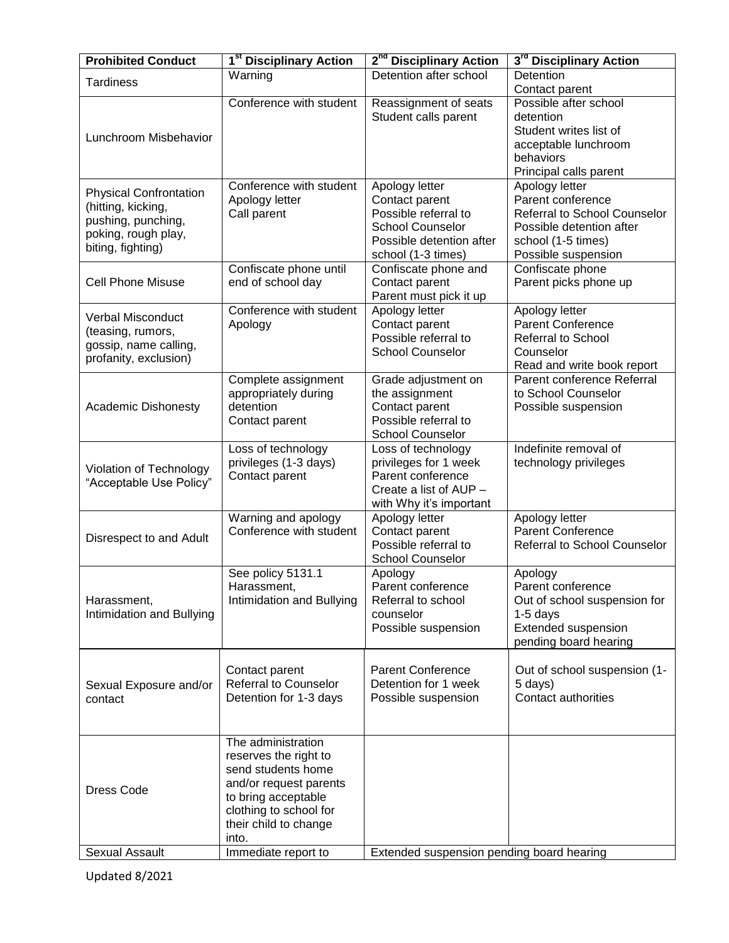| <b>Prohibited Conduct</b>     | 1 <sup>st</sup> Disciplinary Action          | 2 <sup>nd</sup> Disciplinary Action             | 3 <sup>rd</sup> Disciplinary Action            |
|-------------------------------|----------------------------------------------|-------------------------------------------------|------------------------------------------------|
| <b>Tardiness</b>              | Warning                                      | Detention after school                          | <b>Detention</b>                               |
|                               |                                              |                                                 | Contact parent                                 |
|                               | Conference with student                      | Reassignment of seats                           | Possible after school                          |
|                               |                                              | Student calls parent                            | detention<br>Student writes list of            |
| Lunchroom Misbehavior         |                                              |                                                 | acceptable lunchroom                           |
|                               |                                              |                                                 | behaviors                                      |
|                               |                                              |                                                 | Principal calls parent                         |
| <b>Physical Confrontation</b> | Conference with student                      | Apology letter                                  | Apology letter                                 |
| (hitting, kicking,            | Apology letter                               | Contact parent                                  | Parent conference                              |
| pushing, punching,            | Call parent                                  | Possible referral to                            | Referral to School Counselor                   |
| poking, rough play,           |                                              | <b>School Counselor</b>                         | Possible detention after                       |
| biting, fighting)             |                                              | Possible detention after<br>school (1-3 times)  | school (1-5 times)<br>Possible suspension      |
|                               | Confiscate phone until                       | Confiscate phone and                            | Confiscate phone                               |
| <b>Cell Phone Misuse</b>      | end of school day                            | Contact parent                                  | Parent picks phone up                          |
|                               |                                              | Parent must pick it up                          |                                                |
| <b>Verbal Misconduct</b>      | Conference with student                      | Apology letter                                  | Apology letter                                 |
| (teasing, rumors,             | Apology                                      | Contact parent                                  | <b>Parent Conference</b>                       |
| gossip, name calling,         |                                              | Possible referral to<br><b>School Counselor</b> | <b>Referral to School</b><br>Counselor         |
| profanity, exclusion)         |                                              |                                                 | Read and write book report                     |
|                               | Complete assignment                          | Grade adjustment on                             | Parent conference Referral                     |
|                               | appropriately during                         | the assignment                                  | to School Counselor                            |
| <b>Academic Dishonesty</b>    | detention                                    | Contact parent                                  | Possible suspension                            |
|                               | Contact parent                               | Possible referral to                            |                                                |
|                               |                                              | <b>School Counselor</b>                         |                                                |
|                               | Loss of technology<br>privileges (1-3 days)  | Loss of technology<br>privileges for 1 week     | Indefinite removal of<br>technology privileges |
| Violation of Technology       | Contact parent                               | Parent conference                               |                                                |
| "Acceptable Use Policy"       |                                              | Create a list of AUP -                          |                                                |
|                               |                                              | with Why it's important                         |                                                |
|                               | Warning and apology                          | Apology letter                                  | Apology letter                                 |
| Disrespect to and Adult       | Conference with student                      | Contact parent                                  | <b>Parent Conference</b>                       |
|                               |                                              | Possible referral to<br><b>School Counselor</b> | Referral to School Counselor                   |
|                               | See policy 5131.1                            | Apology                                         | Apology                                        |
|                               | Harassment,                                  | Parent conference                               | Parent conference                              |
| Harassment,                   | Intimidation and Bullying                    | Referral to school                              | Out of school suspension for                   |
| Intimidation and Bullying     |                                              | counselor                                       | $1-5$ days                                     |
|                               |                                              | Possible suspension                             | Extended suspension                            |
|                               |                                              |                                                 | pending board hearing                          |
|                               | Contact parent                               | <b>Parent Conference</b>                        | Out of school suspension (1-                   |
| Sexual Exposure and/or        | <b>Referral to Counselor</b>                 | Detention for 1 week                            | 5 days)                                        |
| contact                       | Detention for 1-3 days                       | Possible suspension                             | <b>Contact authorities</b>                     |
|                               |                                              |                                                 |                                                |
|                               |                                              |                                                 |                                                |
|                               | The administration                           |                                                 |                                                |
|                               | reserves the right to                        |                                                 |                                                |
|                               | send students home<br>and/or request parents |                                                 |                                                |
| <b>Dress Code</b>             | to bring acceptable                          |                                                 |                                                |
|                               | clothing to school for                       |                                                 |                                                |
|                               | their child to change                        |                                                 |                                                |
|                               | into.                                        |                                                 |                                                |
| Sexual Assault                | Immediate report to                          | Extended suspension pending board hearing       |                                                |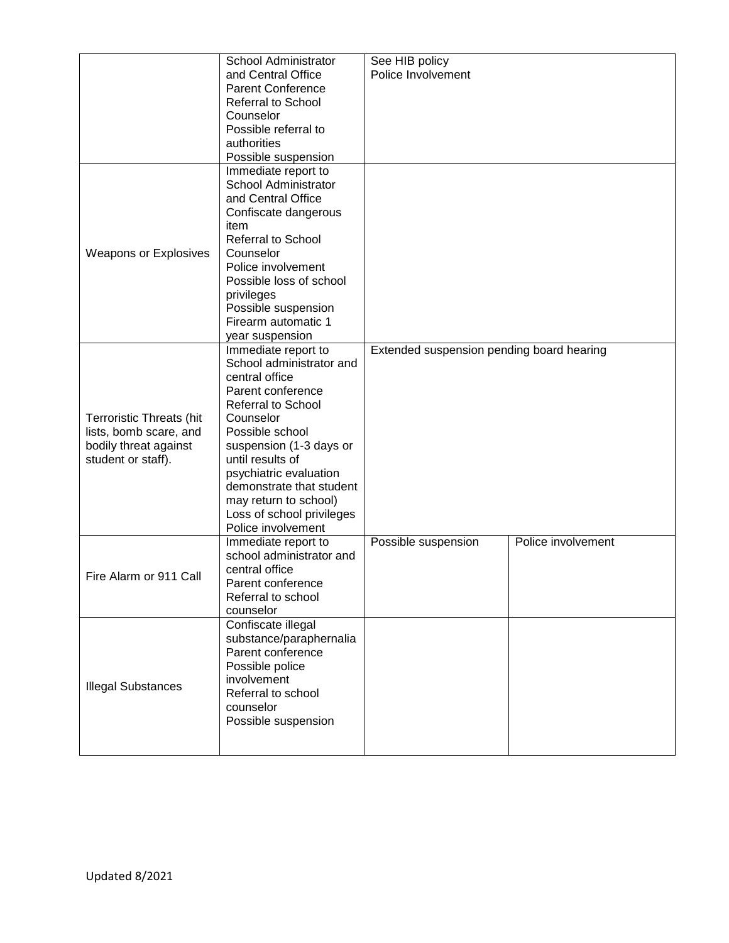|                                 | School Administrator                        | See HIB policy                            |                    |
|---------------------------------|---------------------------------------------|-------------------------------------------|--------------------|
|                                 | and Central Office                          | Police Involvement                        |                    |
|                                 | <b>Parent Conference</b>                    |                                           |                    |
|                                 | <b>Referral to School</b>                   |                                           |                    |
|                                 | Counselor                                   |                                           |                    |
|                                 | Possible referral to                        |                                           |                    |
|                                 | authorities                                 |                                           |                    |
|                                 | Possible suspension                         |                                           |                    |
|                                 |                                             |                                           |                    |
|                                 | Immediate report to<br>School Administrator |                                           |                    |
|                                 | and Central Office                          |                                           |                    |
|                                 |                                             |                                           |                    |
|                                 | Confiscate dangerous                        |                                           |                    |
|                                 | item                                        |                                           |                    |
|                                 | <b>Referral to School</b>                   |                                           |                    |
| <b>Weapons or Explosives</b>    | Counselor                                   |                                           |                    |
|                                 | Police involvement                          |                                           |                    |
|                                 | Possible loss of school                     |                                           |                    |
|                                 | privileges                                  |                                           |                    |
|                                 | Possible suspension                         |                                           |                    |
|                                 | Firearm automatic 1                         |                                           |                    |
|                                 | year suspension                             |                                           |                    |
|                                 | Immediate report to                         | Extended suspension pending board hearing |                    |
|                                 | School administrator and                    |                                           |                    |
|                                 | central office                              |                                           |                    |
|                                 | Parent conference                           |                                           |                    |
|                                 | <b>Referral to School</b>                   |                                           |                    |
| <b>Terroristic Threats (hit</b> | Counselor                                   |                                           |                    |
| lists, bomb scare, and          | Possible school                             |                                           |                    |
| bodily threat against           | suspension (1-3 days or                     |                                           |                    |
| student or staff).              | until results of                            |                                           |                    |
|                                 | psychiatric evaluation                      |                                           |                    |
|                                 | demonstrate that student                    |                                           |                    |
|                                 | may return to school)                       |                                           |                    |
|                                 | Loss of school privileges                   |                                           |                    |
|                                 | Police involvement                          |                                           |                    |
|                                 | Immediate report to                         | Possible suspension                       | Police involvement |
|                                 | school administrator and                    |                                           |                    |
|                                 | central office                              |                                           |                    |
| Fire Alarm or 911 Call          | Parent conference                           |                                           |                    |
|                                 | Referral to school                          |                                           |                    |
|                                 | counselor                                   |                                           |                    |
|                                 | Confiscate illegal                          |                                           |                    |
|                                 | substance/paraphernalia                     |                                           |                    |
|                                 | Parent conference                           |                                           |                    |
| <b>Illegal Substances</b>       | Possible police                             |                                           |                    |
|                                 | involvement                                 |                                           |                    |
|                                 | Referral to school                          |                                           |                    |
|                                 | counselor                                   |                                           |                    |
|                                 | Possible suspension                         |                                           |                    |
|                                 |                                             |                                           |                    |
|                                 |                                             |                                           |                    |